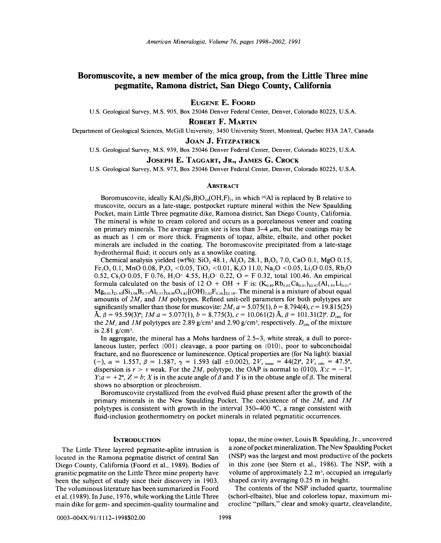# Boromuscovite, a new member of the mica group, from the Little Three mine pegmatite, Ramona district, San Diego County, California

EUGENE E. FOORD

U.S. Geological Survey, M.S. 905, Box 25046 Denver Federal Center, Denver, Colorado 80225, U.S.A.

ROBERT F. MARTIN

Department of Geological Sciences, McGill University, 3450 University Street, Montreal, Ouebec H3A 2A7, Canada

## JOAN J. FITZPATRICK

U.S. Geological Survey, M.S. 939, Box 25046 Denver Federal Center, Denver, Colorado 80225, U.S.A.

# JOSEPH E. TAGGART, JR., JAMES G. CROCK

U.S. Geological Survey, M.S. 973, Box 25046 Denver Federal Center, Denver, Colorado 80225, U.S.A.

#### **ABSTRACT**

Boromuscovite, ideally  $KAI_2(Si_3B)O_{10}(OH, F)_{2}$ , in which [4]Al is replaced by B relative to muscovite, occurs as a late-stage, postpocket rupture mineral within the New Spaulding Pocket, main Little Three pegmatite dike, Ramona district, San Diego County, California. The mineral is white to cream colored and occurs as a porcelaneous veneer and coating on primary minerals. The average grain size is less than  $3-4 \mu m$ , but the coatings may be as much as 1 cm or more thick. Fragments of topaz, albite, elbaite, and other pocket minerals are included in the coating. The boromuscovite precipitated from a late-stage hydrothermal fluid; it occurs only as a snowlike coating.

Chemical analysis yielded (wt%): SiO, 48.1, Al, O<sub>3</sub> 28.1, B<sub>2</sub>O<sub>3</sub> 7.0, CaO 0.1, MgO 0.15, Fe<sub>2</sub>O<sub>3</sub> 0.1, MnO 0.08, P<sub>2</sub>O<sub>5</sub> < 0.05, TiO<sub>2</sub> < 0.01, K<sub>2</sub>O 11.0, Na<sub>2</sub>O < 0.05, L<sub>1</sub><sub>2</sub>O 0.05, Rb<sub>2</sub>O<sub>1</sub> 0.52, Cs,O 0.05, F 0.76, H<sub>2</sub>O<sup>+</sup> 4.55, H<sub>2</sub>O<sup>-</sup> 0.22, O = F 0.32, total 100.46. An empirical formula calculated on the basis of 12 O + OH + F is:  $(K_{0.89}Rb_{0.02}Ca_{0.01})_{20.92}(Al_{1.93}Li_{0.01}$  $M_{\mathcal{B}_{0.01}}|_{21.95}(Si_{3.06}B_{0.77}Al_{0.17})_{24.00}O_{9.82}[(OH)_{2.02}F_{0.16}]_{22.18}$ . The mineral is a mixture of about equal amounts of *2M}* and *1M* polytypes. Refined unit-cell parameters for both polytypes are significantly smaller than those for muscovite:  $2M<sub>1</sub> a = 5.075(1)$ ,  $b = 8.794(4)$ ,  $c = 19.815(25)$  $\hat{A}$ ,  $\beta = 95.59(3)$ °; *1M*  $a = 5.077(1)$ ,  $b = 8.775(3)$ ,  $c = 10.061(2)$   $\hat{A}$ ,  $\beta = 101.31(2)$ °.  $D_{\text{calc}}$  for the  $2M_{\text{I}}$  and  $1M$  polytypes are 2.89 g/cm<sup>3</sup> and 2.90 g/cm<sup>3</sup>, respectively.  $D_{\text{obs}}$  of the mixture is  $2.81$  g/cm<sup>3</sup>.

In aggregate, the mineral has a Mohs hardness of 2.5-3, white streak, a dull to porcelaneous luster, perfect {001} cleavage, a poor parting on {O1O}, poor to subconchoidal fracture, and no fluorescence or luminescence. Optical properties are (for Na light): biaxial (-),  $\alpha = 1.557$ ,  $\beta = 1.587$ ,  $\gamma = 1.593$  (all  $\pm 0.002$ ),  $2V_{x \text{ meas}} = 44(2)$ °,  $2V_{x \text{ calc}} = 47.5$ °, dispersion is  $r > v$  weak. For the 2M, polytype, the OAP is normal to (010),  $X:c = -1^\circ$ ,  $Y: a = +2^{\circ}, Z = b$ ; *X* is in the acute angle of  $\beta$  and *Y* is in the obtuse angle of  $\beta$ . The mineral shows no absorption or pleochroism.

Boromuscovite crystallized from the evolved fluid phase present after the growth of the primary minerals in the New Spaulding Pocket. The coexistence of the *2M}* and *1M* polytypes is consistent with growth in the interval  $350-400$  °C, a range consistent with fluid-inclusion geothermometry on pocket minerals in related pegmatitic occurrences.

### **INTRODUCTION**

The Little Three layered pegmatite-aplite intrusion is located in the Ramona pegmatite district of central San Diego County, California (Foord et aI., 1989). Bodies of granitic pegmatite on the Little Three mine property have been the subject of study since their discovery in 1903. The voluminous literature has been summarized in Foord et ai. (1989). In June, 1976, while working the Little Three main dike for gem- and specimen-quality tourmaline and topaz, the mine owner, Louis B. Spaulding, Jr., uncovered a zone of pocket mineralization. The New Spaulding Pocket (NSP) was the largest and most productive of the pockets in this zone (see Stem et aI., 1986). The NSP, with a volume of approximately  $2.2 \text{ m}^3$ , occupied an irregularly shaped cavity averaging 0.25 m in height.

The contents of the NSP included quartz, tourmaline (schorl-elbaite), blue and colorless topaz, maximum microcline "pillars," clear and smoky quartz, cleavelandite,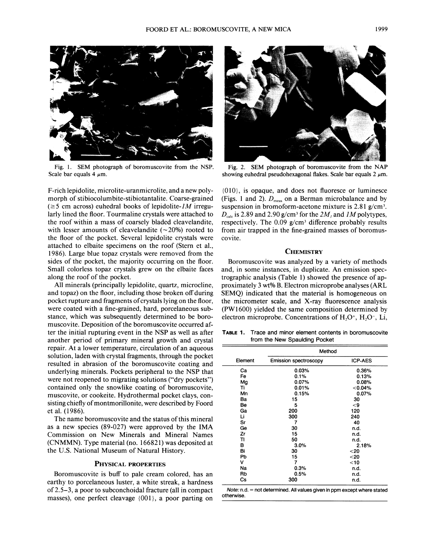

Fig. 1. SEM photograph of boromuscovite from the NSP. Scale bar equals 4  $\mu$ m.

F-rich lepidolite, microlite-uranmicrolite, and a new polymorph of stibiocolumbite-stibiotantalite. Coarse-grained  $(\geq 5$  cm across) euhedral books of lepidolite-*IM* irregularly lined the floor. Tourmaline crystals were attached to the roof within a mass of coarsely bladed cleavelandite, with lesser amounts of cleavelandite  $(\sim 20\%)$  rooted to the floor of the pocket. Several lepidolite crystals were attached to elbaite specimens on the roof (Stern et aI., 1986). Large blue topaz crystals were removed from the sides of the pocket, the majority occurring on the floor. Small colorless topaz crystals grew on the elbaite faces along the roof of the pocket.

All minerals (principally lepidolite, quartz, microcline, and topaz) on the floor, including those broken off during pocket rupture and fragments of crystals lying on the floor, were coated with a fine-grained, hard, porcelaneous substance, which was subsequently determined to be boromuscovite. Deposition of the boromuscovite occurred after the initial rupturing event in the NSP as well as after another period of primary mineral growth and crystal repair. At a lower temperature, circulation of an aqueous solution, laden with crystal fragments, through the pocket resulted in abrasion of the boromuscovite coating and underlying minerals. Pockets peripheral to the NSP that were not reopened to migrating solutions ("dry pockets") contained only the snowlike coating of boromuscovite, muscovite, or cookeite. Hydrothermal pocket clays, consisting chiefly of montmorillonite, were described by Foord et aI. (1986).

The name boromuscovite and the status of this mineral as a new species (89-027) were approved by the IMA Commission on New Minerals and Mineral Names (CNMMN). Type material (no. 166821) was deposited at the U.S. National Museum of Natural History.

### PHYSICAL PROPERTIES

Boromuscovite is buff to pale cream colored, has an earthy to porcelaneous luster, a white streak, a hardness of2.5-3, a poor to subconchoidal fracture (all in compact masses), one perfect cleavage {001}, a poor parting on



Fig. 2. SEM photograph of boromuscovite from the NAP showing euhedral pseudohexagonal flakes. Scale bar equals  $2 \mu m$ .

{010}, is opaque, and does not fluoresce or luminesce (Figs. 1 and 2).  $D_{\text{meas}}$  on a Berman microbalance and by suspension in bromoform-acetone mixture is  $2.81$  g/cm<sup>3</sup>.  $D_{\text{calc}}$  is 2.89 and 2.90 g/cm<sup>3</sup> for the  $2M_l$  and  $1M$  polytypes, respectively. The  $0.09$  g/cm<sup>3</sup> difference probably results from air trapped in the fine-grained masses of boromuscovite.

#### **CHEMISTRY**

Boromuscovite was analyzed by a variety of methods and, in some instances, in duplicate. An emission spectrographic analysis (Table 1) showed the presence of approximately 3 wt% B. Electron microprobe analyses (ARL SEMQ) indicated that the material is homogeneous on the micrometer scale, and X-ray fluorescence analysis (PWI600) yielded the same composition determined by electron microprobe. Concentrations of  $H<sub>2</sub>O<sup>+</sup>$ ,  $H<sub>2</sub>O<sup>-</sup>$ , Li,

**TABLE**1. Trace and minor element contents in boromuscovite from the New Spaulding Pocket

|         | Method                |                |  |  |  |
|---------|-----------------------|----------------|--|--|--|
| Element | Emission spectroscopy | <b>ICP-AES</b> |  |  |  |
| Ca      | 0.03%                 | 0.36%          |  |  |  |
| Fe      | 0.1%                  | 0.13%          |  |  |  |
| Mg      | $0.07\%$              | 0.08%          |  |  |  |
| Τi      | 0.01%                 | < 0.04%        |  |  |  |
| Mn      | 0.15%                 | 0.07%          |  |  |  |
| Ba      | 15                    | 30             |  |  |  |
| Be      | 5                     | -9             |  |  |  |
| Ga      | 200                   | 120            |  |  |  |
| Li      | 300                   | 240            |  |  |  |
| Sr      | 7                     | 40             |  |  |  |
| Ge      | 30                    | n.d.           |  |  |  |
| Zr      | 15                    | n.d.           |  |  |  |
| TI      | 50                    | n.d.           |  |  |  |
| в       | 3.0%                  | 2.18%          |  |  |  |
| Bi      | 30                    | $<$ 20         |  |  |  |
| Pb      | 15                    | $20$           |  |  |  |
| v       | 7                     | $<$ 10         |  |  |  |
| Na      | 0.3%                  | n.d.           |  |  |  |
| Rb      | 0.5%                  | n.d.           |  |  |  |
| Сs      | 300                   | n.d.           |  |  |  |

*Note:* n.d. = not determined. All values given in ppm except where state otherwise.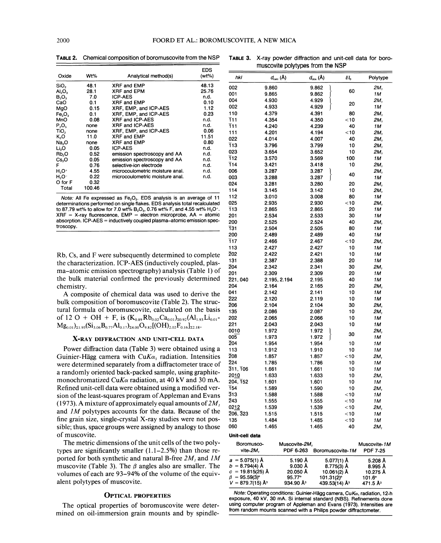EDS Oxide Wt% Analytical method(s) (wt%) *hkl*  $d_{\text{calc}}(\text{\AA})$   $d_{\text{obs}}(\text{\AA})$  Ili<sub>o</sub> Polytype SiO。 48.1 XRF and EMP 48.13 002 9.860 9.862 }<br>Al<sub>o</sub>Q 28.1 XRF and EPM 2.1 001 9.865 9.862 }  $A_2O_3$  28.1 XRF and EPM 25.76 001 9.865 9.862 60 1 m<br>B<sub>2</sub>O<sub>3</sub> 7.0 ICP-AES n.d. 001 9.865 9.862 8.862 CaO 0.1 XRF and EMP 0.10 <sup>004</sup> 4.930 4.929 } <sup>20</sup> 2M1 MgO 0.15 XRF, EMP, and ICP-AES 1.12<br>Fe.O. 0.1 XRF, EMP, and ICP-AES 0.23 Fe<sub>2</sub>O<sub>3</sub> 0.1 XRF, EMP, and ICP-AES 0.2<br>MnO 0.08 XRF and ICP-AES 1.3. MnO 0.08 XRF and ICP-AES n.d.<br>P<sub>2</sub>O<sub>s</sub> none XRF and ICP-AES n.d. P<sub>2</sub>O<sub>S</sub> none XRF and ICP-AES n.d.<br>TiO<sub>2</sub> none XRF, EMP, and ICP-AES 0.06 TiO<sub>2</sub> none XRF, EMP, and ICP-AES 0.06<br>K.O 11.0 XRF and EMP 11.51 K<sub>2</sub>O 11.0 XRF and EMP 11.51 022 4.014 4.007 40 *2M<sub>1</sub>*<br>Na<sub>2</sub>O none XRF and EMP 0.80 113 3.796 3.799 10 *2M<sub>1</sub>*<br>Li<sub>2</sub>O 0.05 ICP-AES 10 1.d. 200 Li<sub>2</sub>O 0.05 ICP-AES component and n.d.<br>Rb<sub>2</sub>O 0.52 emission spectroscopy and AA n.d. 023,0 0.05 emission spectroscopy and AA n.d. 0.05 emission spectroscopy and AA n.d.<br>0.76 selective-ion electrode n.d. F 0.76 selective-ion electrode n.d.<br>
H.O<sup>+</sup> 4.55 microcoulometric moisture anal n.d. H<sub>2</sub>O+ 4.55 microcoulometric moisture anal. n.d. 006 3.287 3.287 3.287 2*M,*<br>H<sub>2</sub>O- 0.22 microcoulometric moisture anal. n.d. 003 3.288 3.287 3.287 1*M*  $H<sub>2</sub>O-$  0.22 microcoulometric moisture anal. n.d. 0 for F 0.32 O for F \_ \_ 0.32 024 3.281 3.280 20 *2M*,

TABLE 2. Chemical composition of boromuscovite from the NSP TABLE 3. X-ray powder diffraction and unit-cell data for boro-

muscovite polytypes from the NSP

#### X-RAY DIFFRACTION AND UNIT-CELL DATA

mined on oil-immersion grain mounts and by spindle-

| Oxide                                                         | Wt%          | Analytical method(s)                                                                                                                       | (wt%)               | hkl                            | $d_{\text{calc}}(\text{Å})$ |                       | $d_{\text{obs}}(\text{Å})$ | II <sub>0</sub>  | Polytype             |
|---------------------------------------------------------------|--------------|--------------------------------------------------------------------------------------------------------------------------------------------|---------------------|--------------------------------|-----------------------------|-----------------------|----------------------------|------------------|----------------------|
| SiO,                                                          | 48.1         | XRF and EMP                                                                                                                                | 48.13               | 002                            | 9.860                       |                       | 9.862                      |                  | 2M,                  |
| $\mathsf{Al}_2\mathsf{O}_3$                                   | 28.1         | XRF and EPM                                                                                                                                | 25.76               | 001                            | 9.865                       |                       |                            | 60               | 1M                   |
| $\mathsf{B}_2\mathsf{O}_3$                                    | 7.0          | <b>ICP-AES</b>                                                                                                                             | n.d.                | 004                            | 4.930                       |                       | 9.862<br>4.929             |                  | 2М,                  |
| CaO                                                           | 0.1          | XRF and EMP                                                                                                                                | 0.10                | 002                            | 4.933                       |                       | 4.929                      | 20               | 1M                   |
| MgO                                                           | 0.15         | XRF, EMP, and ICP-AES                                                                                                                      | 1.12                | 110                            | 4.379                       |                       | 4.391                      | 80               | 2М,                  |
| Fe <sub>2</sub> O <sub>3</sub><br>MnO                         | 0.1<br>0.08  | XRF, EMP, and ICP-AES<br>XRF and ICP-AES                                                                                                   | 0.23<br>n.d.        | T11                            | 4.354                       |                       | 4.350                      | <10              | 2M,                  |
| $P_2O_5$                                                      | none         | XRF and ICP-AES                                                                                                                            | n.d.                | $\overline{1}11$               |                             |                       | 4.239                      |                  |                      |
| TiO <sub>2</sub>                                              | none         | XRF, EMP, and ICP-AES                                                                                                                      | 0.06                | 111                            | 4.240                       |                       |                            | 40<br>$<$ 10     | 1 M                  |
| K,O                                                           | 11.0         | XRF and EMP                                                                                                                                | 11.51               |                                | 4.201                       |                       | 4.194                      |                  | 2M,                  |
| Na,O                                                          | none         | XRF and EMP                                                                                                                                | 0.80                | 022                            | 4.014                       |                       | 4.007                      | 40               | 2M,                  |
| Li <sub>2</sub> O                                             | 0.05         | <b>ICP-AES</b>                                                                                                                             | n.d.                | 113                            | 3.796                       |                       | 3.799                      | 10               | 2M,                  |
| Rb,O                                                          | 0.52         | emission spectroscopy and AA                                                                                                               | n.d.                | 023                            | 3.654                       |                       | 3.652                      | 10               | 2M,                  |
| Cs <sub>2</sub> O                                             | 0.05         | emission spectroscopy and AA                                                                                                               | n.d.                | 112                            | 3.570                       |                       | 3.569                      | 100              | 1M                   |
| F                                                             | 0.76         | selective-ion electrode                                                                                                                    | n.d.                | 114                            | 3.421                       |                       | 3.418                      | 10               | 2M,                  |
| $H_2O^+$<br>H,O-                                              | 4.55<br>0.22 | microcoulometric moisture anal.<br>microcoulometric moisture anal.                                                                         | n.d.                | 006                            | 3.287                       |                       | 3.287                      | 40               | 2M,                  |
| 0 for F                                                       | 0.32         |                                                                                                                                            | n.d.                | 003                            | 3.288                       |                       | 3.287                      |                  | 1M                   |
| Total                                                         | 100.46       |                                                                                                                                            |                     | 024                            | 3.281                       |                       | 3.280                      | 20               | 2M,                  |
|                                                               |              |                                                                                                                                            |                     | 114                            | 3.145                       |                       | 3.142                      | 10               | 2м,                  |
|                                                               |              | <i>Note:</i> All Fe expressed as $Fe2O3$ . EDS analysis is an average of 11                                                                |                     | 112                            | 3.010                       |                       | 3.008                      | 80               | 1M                   |
|                                                               |              | determinations performed on single flakes. EDS analysis total recalculated                                                                 |                     | 025                            | 2.935                       |                       | 2.930                      | <10              | 2м,                  |
|                                                               |              | to 87.79 wt% to allow for 7.0 wt% B <sub>2</sub> O <sub>3</sub> , 0.76 wt% F, and 4.55 wt% H <sub>2</sub> O <sup>+</sup> .                 |                     | 113                            | 2.865                       |                       | 2.865                      | 20               | 1M                   |
|                                                               |              | XRF = X-ray fluorescence, EMP = electron microprobe, AA = atomic<br>absorption. ICP-AES = inductively coupled plasma–atomic emission spec- |                     | 201                            | 2.534                       |                       | 2.533                      | 30               | 1M                   |
| troscopy.                                                     |              |                                                                                                                                            |                     | 200                            | 2.525                       |                       | 2.524                      | 40               | 2M,                  |
|                                                               |              |                                                                                                                                            |                     | 131                            | 2.504                       |                       | 2.505                      | 80               | 1M                   |
|                                                               |              |                                                                                                                                            |                     | 200                            | 2.489                       |                       | 2.489                      | 40               | 1M                   |
|                                                               |              |                                                                                                                                            |                     | $\overline{1}17$               | 2.466                       |                       | 2.467                      | $<$ 10           | 2M,                  |
|                                                               |              |                                                                                                                                            |                     | 113                            | 2.427                       |                       | 2.427                      | 10               | 1M                   |
|                                                               |              | Rb, Cs, and F were subsequently determined to complete                                                                                     |                     | 202                            | 2.422                       |                       | 2.421                      | 10               | 1M                   |
|                                                               |              | the characterization. ICP-AES (inductively coupled, plas-                                                                                  |                     | 131                            | 2.387                       |                       | 2.388                      | 20               | 1M                   |
| ma–atomic emission spectrography) analysis (Table 1) of       |              |                                                                                                                                            | 204                 | 2.342                          |                             | 2.341                 | 30                         | 2M,              |                      |
| the bulk material confirmed the previously determined         |              |                                                                                                                                            | 201                 | 2.309                          |                             | 2.309                 | 20                         | 1M               |                      |
|                                                               |              |                                                                                                                                            |                     | 221, 040                       | 2.195, 2.194                |                       | 2.195                      | 40               | 1M                   |
| chemistry.                                                    |              |                                                                                                                                            |                     | 204                            | 2.164                       |                       | 2.165                      | 20               | 2M,                  |
| A composite of chemical data was used to derive the           |              |                                                                                                                                            | 041                 | 2.142                          |                             | 2.141                 | 10                         | 1 M              |                      |
| bulk composition of boromuscovite (Table 2). The struc-       |              |                                                                                                                                            | 222                 | 2.120                          |                             | 2.119                 | 10                         | 1M               |                      |
| tural formula of boromuscovite, calculated on the basis       |              |                                                                                                                                            | 206                 | 2.104                          |                             | 2.104                 | 30                         | 2M,              |                      |
|                                                               |              |                                                                                                                                            |                     | 135                            | 2.086                       |                       | 2.087                      | 10               | 2M,                  |
|                                                               |              | of 12 O + OH + F, is $(K_{0.89}Rb_{0.02}Ca_{0.01})_{z0.92}(Al_{1.93}Li_{0.01}$                                                             |                     | 202                            | 2.065                       |                       | 2.066                      | 10               | 1M                   |
|                                                               |              | $Mg_{0.01})_{\Sigma1.95} (Si_{3.06}B_{0.77}Al_{0.17})_{\Sigma4.00}O_{9.82}[(OH)_{2.02}F_{0.16}]_{\Sigma2.18}$                              |                     | 221                            | 2.043                       |                       | 2.043                      | 10               | 1M                   |
|                                                               |              |                                                                                                                                            |                     | 0010                           | 1.972                       |                       | 1.972                      | 30               | 2M,                  |
|                                                               |              | X-RAY DIFFRACTION AND UNIT-CELL DATA                                                                                                       |                     | 005                            | 1.973                       |                       | 1.972                      |                  | 1M                   |
|                                                               |              |                                                                                                                                            |                     | 204                            | 1.954                       |                       | 1.954                      | 10               | 1M                   |
|                                                               |              | Power diffraction data (Table 3) were obtained using a                                                                                     |                     | 113                            | 1.912                       |                       | 1.910                      | 10               | 1M                   |
|                                                               |              | Guinier-Hägg camera with $CuKa1$ radiation. Intensities                                                                                    |                     | 208                            | 1.857                       |                       | 1.857                      | $<$ 10           | 2M,                  |
| were determined separately from a diffractometer trace of     |              |                                                                                                                                            | 224                 | 1.785                          |                             | 1.786                 | 10                         | 1M               |                      |
| a randomly oriented back-packed sample, using graphite-       |              |                                                                                                                                            | 311, 106            | 1.661                          |                             | 1.661                 | 10                         | 1M               |                      |
|                                                               |              | monochromatized Cu $K\alpha$ radiation, at 40 kV and 30 mA.                                                                                |                     | 2010                           | 1.633                       |                       | 1.633                      | 10               | 2M,                  |
|                                                               |              |                                                                                                                                            |                     | 204, 152                       | 1.601                       |                       | 1.601                      | 10               | 1M                   |
|                                                               |              | Refined unit-cell data were obtained using a modified ver-                                                                                 |                     | 154                            | 1.589                       |                       | 1.590                      | 10               | 2M,                  |
|                                                               |              | sion of the least-squares program of Appleman and Evans                                                                                    |                     | 313                            | 1.588                       |                       | 1.588                      | $<$ 10           | 1M                   |
|                                                               |              | (1973). A mixture of approximately equal amounts of $2M1$                                                                                  |                     | 243                            | 1.555                       |                       | 1.555                      | $< 10$           | 1 M                  |
|                                                               |              | and <i>IM</i> polytypes accounts for the data. Because of the                                                                              |                     | 0212                           | 1.539                       |                       | 1.539                      | $<$ 10           | 2м,                  |
|                                                               |              |                                                                                                                                            |                     | 206, 323                       | 1.515                       |                       | 1.515                      | $<$ 10           | 1M                   |
|                                                               |              | fine grain size, single-crystal X-ray studies were not pos-                                                                                |                     | 135                            | 1.484                       |                       | 1.485                      | $<$ 10           | 1M                   |
|                                                               |              | sible; thus, space groups were assigned by analogy to those                                                                                |                     | 060                            | 1.465                       |                       | 1.465                      | 40               | 2м,                  |
| of muscovite.                                                 |              |                                                                                                                                            |                     | Unit-cell data                 |                             |                       |                            |                  |                      |
|                                                               |              | The metric dimensions of the unit cells of the two poly-                                                                                   |                     | Boromusco-                     |                             |                       |                            |                  |                      |
|                                                               |              |                                                                                                                                            |                     |                                |                             | Muscovite-2M,         |                            |                  | Muscovite-1M         |
|                                                               |              | types are significantly smaller $(1.1-2.5%)$ than those re-                                                                                |                     | vite- $2M$ ,                   |                             | PDF 6-263             |                            | Boromuscovite-1M | <b>PDF 7-25</b>      |
| ported for both synthetic and natural B-free $2M_i$ and $1M$  |              | $a = 5.075(1)$ Å                                                                                                                           |                     | 5.190 A                        |                             | 5.077(1) A            | 5.208 A                    |                  |                      |
| muscovite (Table 3). The $\beta$ angles also are smaller. The |              | $b = 8.794(4)$ Å                                                                                                                           |                     | 9.030 A                        |                             | 8.775(3) A            | 8.995 A                    |                  |                      |
| volumes of each are 93–94% of the volume of the equiv-        |              | $c = 19.815(25)$ Å                                                                                                                         |                     | 20.050 Å                       |                             | 10.061(2) Å           | 10.275 Å                   |                  |                      |
| alent polytypes of muscovite.                                 |              |                                                                                                                                            | $\beta$ = 95.59(3)° |                                | 95.77°                      |                       | 101.31(2)°                 | $101.6^\circ$    |                      |
|                                                               |              |                                                                                                                                            |                     | $V = 879.7(15)$ Å <sup>3</sup> |                             | 934.90 Å <sup>3</sup> |                            | 439.53(14) Ū     | 471.5 Å <sup>3</sup> |
|                                                               |              |                                                                                                                                            |                     |                                |                             |                       |                            |                  |                      |

OPTICAL PROPERTIES Note: Operating conditions: Guinier-Hägg camera, CuKα<sub>1</sub> radiation, 12-h<br>
Supersum 40 kV 20 mÅ Gi internal standard (NOC). Definements that exposure, 40 kV, 30 mA. Si internal standard (N8S). Refinements done The optical properties of boromuscovite were deter- using computer program of Appleman and Evans (1973). Intensities are from random mounts scanned with a Philips powder diffractometer.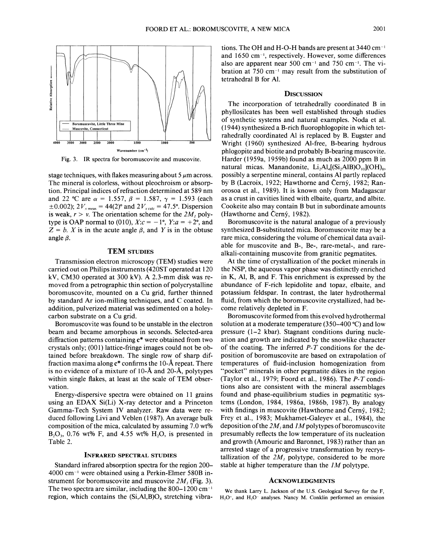

Fig. 3. IR spectra for boromuscovite and muscovite.

stage techniques, with flakes measuring about  $5 \mu$ m across. The mineral is colorless, without pleochroism or absorption. Principal indices of refraction determined at 589 nm and 22 °C are  $\alpha = 1.557$ ,  $\beta = 1.587$ ,  $\gamma = 1.593$  (each  $\pm 0.002$ ); 2 $V_{x \text{ meas}} = 44(2)$ ° and 2 $V_{x \text{ calc}} = 47.5$ °. Dispersion is weak,  $r > v$ . The orientation scheme for the  $2M<sub>1</sub>$  polytype is OAP normal to (010),  $X:c = -1$ °,  $Y:a = +2$ °, and  $Z = b$ . *X* is in the acute angle  $\beta$ , and *Y* is in the obtuse angle  $\beta$ .

#### TEM STUDIES

Transmission electron microscopy (TEM) studies were carried out on Philips instruments (420ST operated at 120 kV, CM30 operated at 300 kV). A 2.3-mm disk was removed from a petrographic thin section of polycrystalline boromuscovite, mounted on a Cu grid, further thinned by standard Ar ion-milling techniques, and C coated. In addition, pulverized material was sedimented on a holeycarbon substrate on a Cu grid.

Boromuscovite was found to be unstable in the electron beam and became amorphous in seconds. Selected-area diffraction patterns containing c\* were obtained from two crystals only; (001) lattice-fringe images could not be obtained before breakdown. The single row of sharp diffraction maxima along  $c^*$  confirms the 10- $\AA$  repeat. There is no evidence of a mixture of 10-A and 20-A, polytypes within single flakes, at least at the scale of TEM observation.

Energy-dispersive spectra were obtained on 11 grains using an EDAX Si(Li) X-ray detector and a Princeton Gamma- Tech System IV analyzer. Raw data were reduced following Livi and Veblen (1987). An average bulk composition of the mica, calculated by assuming 7.0 wt%  $B_2O_3$ , 0.76 wt% F, and 4.55 wt% H<sub>2</sub>O, is presented in Table 2.

#### INFRARED SPECTRAL STUDIES

Standard infrared absorption spectra for the region 200-  $4000$  cm<sup>-1</sup> were obtained using a Perkin-Elmer 580B instrument for boromuscovite and muscovite 2M, (Fig. 3). The two spectra are similar, including the  $800-1200$  cm<sup>-1</sup> region, which contains the  $(Si, A1, B)O<sub>4</sub>$  stretching vibrations. The OH and H-O-H bands are present at  $3440 \text{ cm}^{-1}$ and 1650 cm-I, respectively. However, some differences also are apparent near 500 cm<sup>-1</sup> and 750 cm<sup>-1</sup>. The vibration at  $750 \text{ cm}^{-1}$  may result from the substitution of tetrahedral B for AI.

#### **DISCUSSION**

The incorporation of tetrahedrally coordinated B in phyllosilcates has been well established through studies of synthetic systems and natural examples. Noda et al. (1944) synthesized a B-rich fluorophlogopite in which tetrahedrally coordinated Al is replaced by B. Eugster and Wright (1960) synthesized AI-free, B-bearing hydrous phlogopite and biotite and probably B-bearing muscovite. Harder (1959a, 1959b) found as much as 2000 ppm Bin natural micas. Manandonite,  $Li<sub>2</sub>Al<sub>4</sub>[(Si<sub>2</sub>AlB)O<sub>10</sub>](OH)<sub>8</sub>$ , possibly a serpentine mineral, contains Al partly replaced by B (Lacroix, 1922; Hawthorne and Cerny, 1982; Ranorosoa et aI., 1989). It is known only from Madagascar as a crust in cavities lined with elbaite, quartz, and albite. Cookeite also may contain B but in subordinate amounts (Hawthorne and Cerny, 1982).

Boromuscovite is the natural analogue of a previously synthesized B-substituted mica. Boromuscovite may be a rare mica, considering the volume of chemical data available for muscovite and B-, Be-, rare-metal-, and rarealkali-containing muscovite from granitic pegmatites.

At the time of crystallization of the pocket minerals in the NSP, the aqueous vapor phase was distinctly enriched in K, AI, B, and F. This enrichment is expressed by the abundance of F-rich lepidolite and topaz, elbaite, and potassium feldspar. In contrast, the later hydrothermal fluid, from which the boromuscovite crystallized, had become relatively depleted in F.

Boromuscovite formed from this evolved hydrothermal solution at a moderate temperature (350-400 °C) and low pressure (1-2 kbar). Stagnant conditions during nucleation and growth are indicated by the snowlike character of the coating. The inferred *P-T* conditions for the deposition of boromuscovite are based on extrapolation of temperatures of fluid-inclusion homogenization from "pocket" minerals in other pegmatite dikes in the region (Taylor et al., 1979; Foord et al., 1986). The *P-T* conditions also are consistent with the mineral assemblages found and phase-equilibrium studies in pegmatitic systems (London, 1984, 1986a, 1986b, 1987). By analogy with findings in muscovite (Hawthorne and Cerny, 1982; Frey et aI., 1983; Mukhamet-Galeyev et aI., 1984), the deposition of the 2M<sub>l</sub> and 1M polytypes of boromuscovite presumably reflects the low temperature of its nucleation and growth (Amouric and Baronnet, 1983) rather than an arrested stage of a progressive transformation by recrystallization of the  $2M<sub>1</sub>$  polytype, considered to be more stable at higher temperature than the *1M* polytype.

#### ACKNOWLEDGMENTS

We thank Larry L. Jackson of the U.S. Geological Survey for the F,  $H<sub>2</sub>O<sup>+</sup>$ , and  $H<sub>2</sub>O<sup>-</sup>$  analyses. Nancy M. Conklin performed an emission